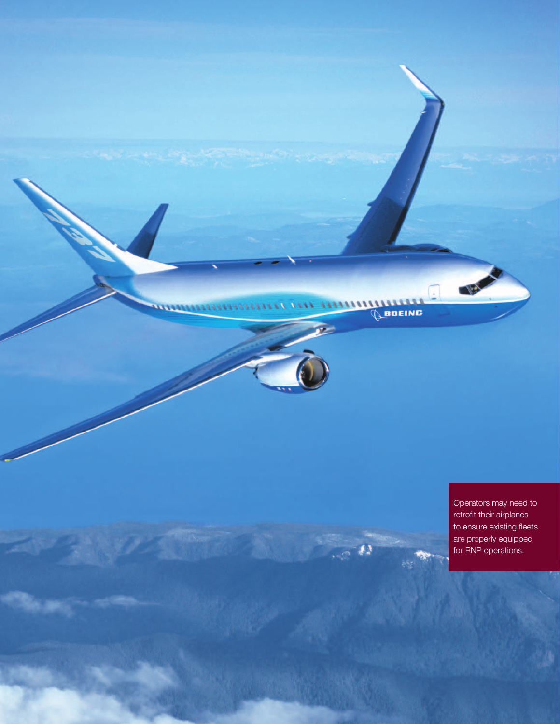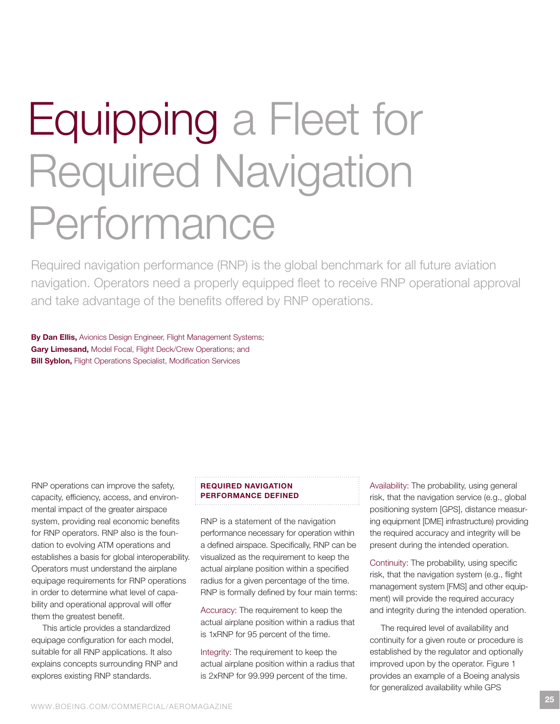# Equipping a Fleet for **Required Navigation** Performance

Required navigation performance (RNP) is the global benchmark for all future aviation navigation. Operators need a properly equipped fleet to receive RNP operational approval and take advantage of the benefits offered by RNP operations.

By Dan Ellis, Avionics Design Engineer, Flight Management Systems; Gary Limesand, Model Focal, Flight Deck/Crew Operations; and **Bill Syblon, Flight Operations Specialist, Modification Services** 

RNP operations can improve the safety, capacity, efficiency, access, and environmental impact of the greater airspace system, providing real economic benefits for RNP operators. RNP also is the foundation to evolving ATM operations and establishes a basis for global interoperability. operators must understand the airplane equipage requirements for RNP operations in order to determine what level of capability and operational approval will offer them the greatest benefit.

This article provides a standardized equipage configuration for each model, suitable for all RNP applications. It also explains concepts surrounding RNP and explores existing RNP standards.

# REquiRED NaviGatioN PERfoRmaNcE DEfiNED

RNP is a statement of the navigation performance necessary for operation within a defined airspace. Specifically, RNP can be visualized as the requirement to keep the actual airplane position within a specified radius for a given percentage of the time. RNP is formally defined by four main terms:

Accuracy: The requirement to keep the actual airplane position within a radius that is 1xRNP for 95 percent of the time.

Integrity: The requirement to keep the actual airplane position within a radius that is 2xRNP for 99.999 percent of the time.

Availability: The probability, using general risk, that the navigation service (e.g., global positioning system [gPS], distance measuring equipment [Dme] infrastructure) providing the required accuracy and integrity will be present during the intended operation.

Continuity: The probability, using specific risk, that the navigation system (e.g., flight management system [FMS] and other equipment) will provide the required accuracy and integrity during the intended operation.

The required level of availability and continuity for a given route or procedure is established by the regulator and optionally improved upon by the operator. Figure 1 provides an example of a Boeing analysis for generalized availability while GPS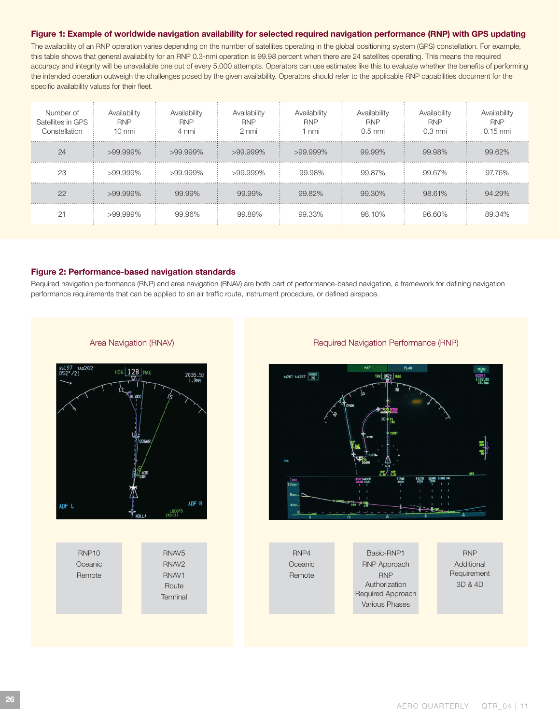# figure 1: Example of worldwide navigation availability for selected required navigation performance (RNP) with GPS updating

The availability of an RNP operation varies depending on the number of satellites operating in the global positioning system (GPS) constellation. For example, this table shows that general availability for an RNP 0.3-nmi operation is 99.98 percent when there are 24 satellites operating. This means the required accuracy and integrity will be unavailable one out of every 5,000 attempts. operators can use estimates like this to evaluate whether the benefits of performing the intended operation outweigh the challenges posed by the given availability. Operators should refer to the applicable RNP capabilities document for the specific availability values for their fleet.

| Number of<br>Satellites in GPS<br>Constellation | Availability<br><b>RNP</b><br>10 nmi | Availability<br><b>RNP</b><br>4 nmi | Availability<br><b>RNP</b><br>2 nmi | Availability<br><b>RNP</b><br>1 nmi | Availability<br><b>RNP</b><br>$0.5$ nmi | Availability<br><b>RNP</b><br>$0.3 \text{ nm}$ | Availability<br><b>RNP</b><br>$0.15$ nmi |
|-------------------------------------------------|--------------------------------------|-------------------------------------|-------------------------------------|-------------------------------------|-----------------------------------------|------------------------------------------------|------------------------------------------|
| 24                                              | $>99.999\%$                          | $>99.999\%$                         | $>99.999\%$                         | $>99.999\%$                         | 99.99%                                  | 99.98%                                         | 99.62%                                   |
| 23                                              | $>99.999\%$                          | >99.999%                            | >99.999%                            | 99.98%                              | 99.87%                                  | 99.67%                                         | 97.76%                                   |
| 22                                              | $>99.999\%$                          | 99.99%                              | 99.99%                              | 99.82%                              | 99.30%                                  | 98.61%                                         | 94.29%                                   |
|                                                 | $>99.999\%$                          | 99.96%                              | 99.89%                              | 99.33%                              | 98.10%                                  | 96.60%                                         | 89.34%                                   |

#### figure 2: Performance-based navigation standards

Required navigation performance (RNP) and area navigation (RNAV) are both part of performance-based navigation, a framework for defining navigation performance requirements that can be applied to an air traffic route, instrument procedure, or defined airspace.





## Area Navigation (RNAV) and the contract of the Required Navigation Performance (RNP)



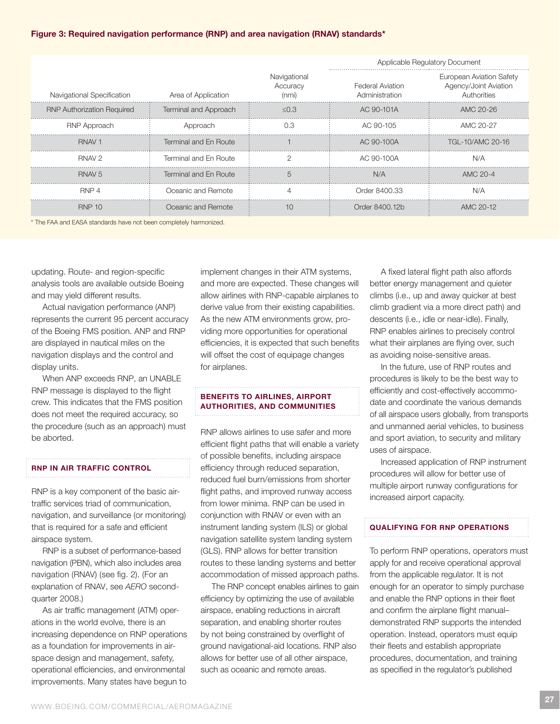# figure 3: Required navigation performance (RNP) and area navigation (RNav) standards\*

|                                   |                       |                                   | Applicable Regulatory Document            |                                                                         |  |
|-----------------------------------|-----------------------|-----------------------------------|-------------------------------------------|-------------------------------------------------------------------------|--|
| Navigational Specification        | Area of Application   | Navigational<br>Accuracy<br>(nmi) | <b>Federal Aviation</b><br>Administration | <b>European Aviation Safety</b><br>Agency/Joint Aviation<br>Authorities |  |
| <b>RNP Authorization Required</b> | Terminal and Approach | $\leq$ 0.3                        | AC 90-101A                                | AMC 20-26                                                               |  |
| <b>RNP Approach</b>               | Approach              | 0.3                               | AC 90-105                                 | AMC 20-27                                                               |  |
| RNAV <sub>1</sub>                 | Terminal and En Route |                                   | AC 90-100A                                | TGL-10/AMC 20-16                                                        |  |
| RNAV <sub>2</sub>                 | Terminal and En Route |                                   | AC 90-100A                                | N/A                                                                     |  |
| RNAV <sub>5</sub>                 | Terminal and En Route | $\overline{5}$                    | N/A                                       | AMC 20-4                                                                |  |
| RNP 4                             | Oceanic and Remote    |                                   | Order 8400.33                             | N/A                                                                     |  |
| <b>RNP 10</b>                     | Oceanic and Remote    | 10                                | Order 8400.12b                            | AMC 20-12                                                               |  |

\* the Faa and eaSa standards have not been completely harmonized.

updating. Route- and region-specific analysis tools are available outside boeing and may yield different results.

Actual navigation performance (ANP) represents the current 95 percent accuracy of the Boeing FMS position. ANP and RNP are displayed in nautical miles on the navigation displays and the control and display units.

When ANP exceeds RNP, an UNABLE RNP message is displayed to the flight crew. This indicates that the FMS position does not meet the required accuracy, so the procedure (such as an approach) must be aborted.

## RNP iN aiR tRaffic coNtRoL

RNP is a key component of the basic airtraffic services triad of communication, navigation, and surveillance (or monitoring) that is required for a safe and efficient airspace system.

RNP is a subset of performance-based navigation (PbN), which also includes area navigation (RNAV) (see fig. 2). (For an explanation of RNAV, see AERO secondquarter 2008.)

As air traffic management (ATM) operations in the world evolve, there is an increasing dependence on RNP operations as a foundation for improvements in airspace design and management, safety, operational efficiencies, and environmental improvements. Many states have begun to

implement changes in their ATM systems, and more are expected. These changes will allow airlines with RNP-capable airplanes to derive value from their existing capabilities. As the new ATM environments grow, providing more opportunities for operational efficiencies, it is expected that such benefits will offset the cost of equipage changes for airplanes.

# BENEfitS to aiRLiNES, aiRPoRt **AUTHORITIES, AND COMMUNITIES**

RNP allows airlines to use safer and more efficient flight paths that will enable a variety of possible benefits, including airspace efficiency through reduced separation, reduced fuel burn/emissions from shorter flight paths, and improved runway access from lower minima. RNP can be used in conjunction with RNAV or even with an instrument landing system (ILS) or global navigation satellite system landing system (GLS). RNP allows for better transition routes to these landing systems and better accommodation of missed approach paths.

The RNP concept enables airlines to gain efficiency by optimizing the use of available airspace, enabling reductions in aircraft separation, and enabling shorter routes by not being constrained by overflight of ground navigational-aid locations. RNP also allows for better use of all other airspace, such as oceanic and remote areas.

a fixed lateral flight path also affords better energy management and quieter climbs (i.e., up and away quicker at best climb gradient via a more direct path) and descents (i.e., idle or nearidle). Finally, RNP enables airlines to precisely control what their airplanes are flying over, such as avoiding noise-sensitive areas.

In the future, use of RNP routes and procedures is likely to be the best way to efficiently and cost-effectively accommodate and coordinate the various demands of all airspace users globally, from transports and unmanned aerial vehicles, to business and sport aviation, to security and military uses of airspace.

Increased application of RNP instrument procedures will allow for better use of multiple airport runway configurations for increased airport capacity.

#### quaLifyiNG foR RNP oPERatioNS

To perform RNP operations, operators must apply for and receive operational approval from the applicable regulator. it is not enough for an operator to simply purchase and enable the RNP options in their fleet and confirm the airplane flight manual– demonstrated RNP supports the intended operation. instead, operators must equip their fleets and establish appropriate procedures, documentation, and training as specified in the regulator's published